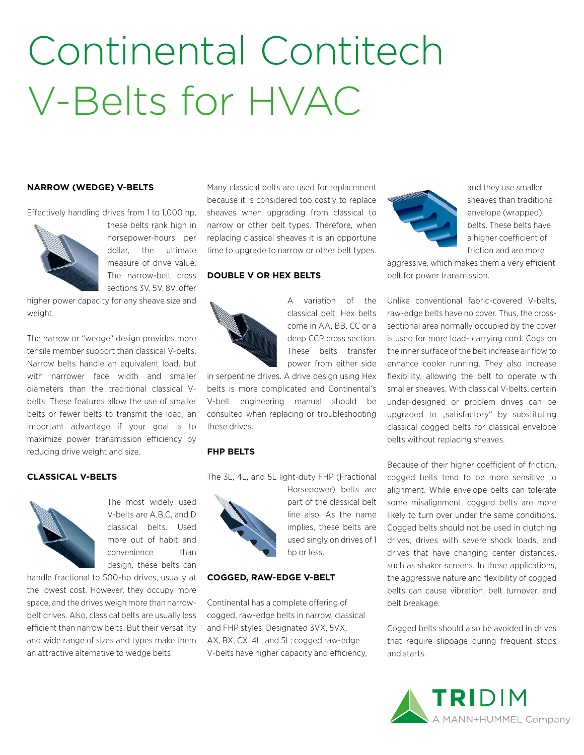# Continental Contitech V-Belts for HVAC

#### **NARROW (WEDGE) V-BELTS**

Effectively handling drives from 1 to 1,000 hp,



these belts rank high in horsepower-hours per dollar, the ultimate measure of drive value. The narrow-belt cross sections 3V, 5V, 8V, offer

higher power capacity for any sheave size and weight.

The narrow or "wedge" design provides more tensile member support than classical V-belts. Narrow belts handle an equivalent load, but with narrower face width and smaller diameters than the traditional classical Vbelts. These features allow the use of smaller belts or fewer belts to transmit the load, an important advantage if your goal is to maximize power transmission efficiency by reducing drive weight and size.

#### **CLASSICAL V-BELTS**



The most widely used V-belts are A,B,C, and D classical belts. Used more out of habit and convenience than design, these belts can

handle fractional to 500-hp drives, usually at the lowest cost. However, they occupy more space, and the drives weigh more than narrowbelt drives. Also, classical belts are usually less efficient than narrow belts. But their versatility and wide range of sizes and types make them an attractive alternative to wedge belts.

Many classical belts are used for replacement because it is considered too costly to replace sheaves when upgrading from classical to narrow or other belt types. Therefore, when replacing classical sheaves it is an opportune time to upgrade to narrow or other belt types.

#### **DOUBLE V OR HEX BELTS**



A variation of the classical belt, Hex belts come in AA, BB, CC or a deep CCP cross section. These belts transfer power from either side

in serpentine drives. A drive design using Hex belts is more complicated and Continental's V-belt engineering manual should be consulted when replacing or troubleshooting these drives.

#### **FHP BELTS**

The 3L, 4L, and 5L light-duty FHP (Fractional



Horsepower) belts are part of the classical belt line also. As the name implies, these belts are used singly on drives of 1 hp or less.

#### **COGGED, RAW-EDGE V-BELT**

Continental has a complete offering of cogged, raw-edge belts in narrow, classical and FHP styles. Designated 3VX, 5VX, AX, BX, CX, 4L, and 5L; cogged raw-edge V-belts have higher capacity and efficiency,



and they use smaller sheaves than traditional envelope (wrapped) belts. These belts have a higher coefficient of friction and are more

aggressive, which makes them a very efficient belt for power transmission.

Unlike conventional fabric-covered V-belts, raw-edge belts have no cover. Thus, the crosssectional area normally occupied by the cover is used for more load- carrying cord. Cogs on the inner surface of the belt increase air flow to enhance cooler running. They also increase flexibility, allowing the belt to operate with smaller sheaves. With classical V-belts, certain under-designed or problem drives can be upgraded to "satisfactory" by substituting classical cogged belts for classical envelope belts without replacing sheaves.

Because of their higher coefficient of friction, cogged belts tend to be more sensitive to alignment. While envelope belts can tolerate some misalignment, cogged belts are more likely to turn over under the same conditions. Cogged belts should not be used in clutching drives, drives with severe shock loads, and drives that have changing center distances, such as shaker screens. In these applications, the aggressive nature and flexibility of cogged belts can cause vibration, belt turnover, and belt breakage.

Cogged belts should also be avoided in drives that require slippage during frequent stops and starts.